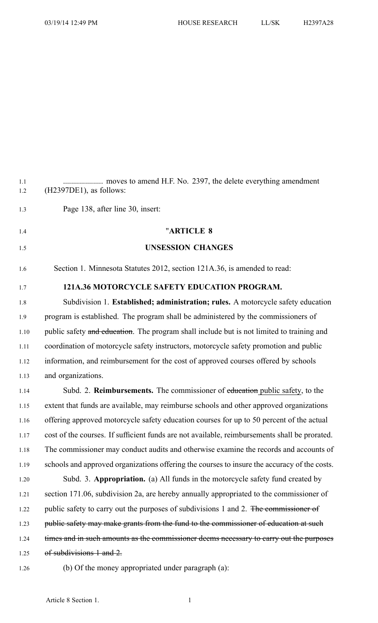1.2 (H2397DE1), as follows:

1.3 Page 138, after line 30, insert: 1.4 "**ARTICLE 8** 1.5 **UNSESSION CHANGES** 1.6 Section 1. Minnesota Statutes 2012, section 121A.36, is amended to read: 1.7 **121A.36 MOTORCYCLE SAFETY EDUCATION PROGRAM.** 1.8 Subdivision 1. **Established; administration; rules.** A motorcycle safety education 1.9 program is established. The program shall be administered by the commissioners of 1.10 public safety and education. The program shall include but is not limited to training and 1.11 coordination of motorcycle safety instructors, motorcycle safety promotion and public 1.12 information, and reimbursement for the cost of approved courses offered by schools 1.13 and organizations. 1.14 Subd. 2. **Reimbursements.** The commissioner of education public safety, to the 1.15 extent that funds are available, may reimburse schools and other approved organizations 1.16 offering approved motorcycle safety education courses for up to 50 percen<sup>t</sup> of the actual 1.17 cost of the courses. If sufficient funds are not available, reimbursements shall be prorated. 1.18 The commissioner may conduct audits and otherwise examine the records and accounts of 1.19 schools and approved organizations offering the courses to insure the accuracy of the costs. 1.20 Subd. 3. **Appropriation.** (a) All funds in the motorcycle safety fund created by 1.21 section 171.06, subdivision 2a, are hereby annually appropriated to the commissioner of 1.22 public safety to carry out the purposes of subdivisions 1 and 2. The commissioner of 1.23 public safety may make grants from the fund to the commissioner of education at such 1.24 times and in such amounts as the commissioner deems necessary to carry out the purposes 1.25 of subdivisions 1 and 2. 1.26 (b) Of the money appropriated under paragraph (a):

1.1 .................... moves to amend H.F. No. 2397, the delete everything amendment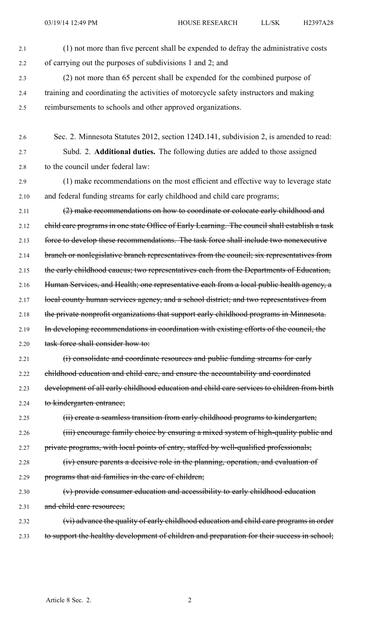2.1 (1) not more than five percen<sup>t</sup> shall be expended to defray the administrative costs 2.2 of carrying out the purposes of subdivisions 1 and 2; and 2.3 (2) not more than 65 percen<sup>t</sup> shall be expended for the combined purpose of 2.4 training and coordinating the activities of motorcycle safety instructors and making 2.5 reimbursements to schools and other approved organizations. 2.6 Sec. 2. Minnesota Statutes 2012, section 124D.141, subdivision 2, is amended to read: 2.7 Subd. 2. **Additional duties.** The following duties are added to those assigned 2.8 to the council under federal law: 2.9 (1) make recommendations on the most efficient and effective way to leverage state 2.10 and federal funding streams for early childhood and child care programs; 2.11 (2) make recommendations on how to coordinate or colocate early childhood and 2.12 child care programs in one state Office of Early Learning. The council shall establish a task 2.13 force to develop these recommendations. The task force shall include two nonexecutive 2.14 branch or nonlegislative branch representatives from the council; six representatives from 2.15 the early childhood caucus; two representatives each from the Departments of Education, 2.16 Human Services, and Health; one representative each from a local public health agency, a 2.17 local county human services agency, and a school district; and two representatives from 2.18 the private nonprofit organizations that support early childhood programs in Minnesota. 2.19 In developing recommendations in coordination with existing efforts of the council, the 2.20 task force shall consider how to: 2.21 (i) consolidate and coordinate resources and public funding streams for early 2.22 childhood education and child care, and ensure the accountability and coordinated 2.23 development of all early childhood education and child care services to children from birth 2.24 to kindergarten entrance; 2.25 (ii) create a seamless transition from early childhood programs to kindergarten; 2.26 (iii) encourage family choice by ensuring a mixed system of high-quality public and 2.27 private programs, with local points of entry, staffed by well-qualified professionals; 2.28 (iv) ensure parents <sup>a</sup> decisive role in the planning, operation, and evaluation of 2.29 programs that aid families in the care of children; 2.30 (v) provide consumer education and accessibility to early childhood education 2.31 and child care resources; 2.32 (vi) advance the quality of early childhood education and child care programs in order 2.33 to support the healthy development of children and preparation for their success in school;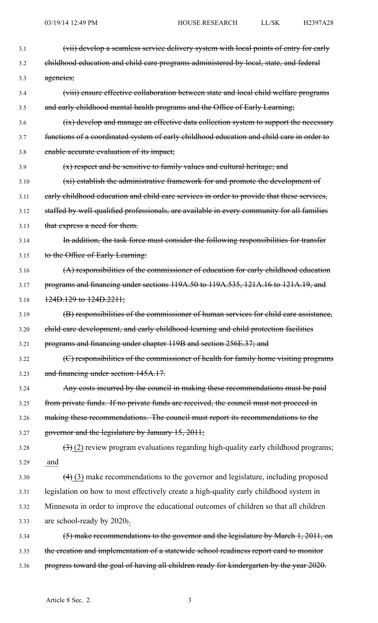| 3.1  | (vii) develop a seamless service delivery system with local points of entry for early      |
|------|--------------------------------------------------------------------------------------------|
| 3.2  | ehildhood education and child care programs administered by local, state, and federal      |
| 3.3  | agencies;                                                                                  |
| 3.4  | (viii) ensure effective collaboration between state and local child welfare programs       |
| 3.5  | and early childhood mental health programs and the Office of Early Learning;               |
| 3.6  | (ix) develop and manage an effective data collection system to support the necessary       |
| 3.7  | functions of a coordinated system of early childhood education and child care in order to  |
| 3.8  | enable accurate evaluation of its impact;                                                  |
| 3.9  | $(x)$ respect and be sensitive to family values and cultural heritage; and                 |
| 3.10 | (xi) establish the administrative framework for and promote the development of             |
| 3.11 | early childhood education and child care services in order to provide that these services, |
| 3.12 | staffed by well-qualified professionals, are available in every community for all families |
| 3.13 | that express a need for them.                                                              |
| 3.14 | In addition, the task force must consider the following responsibilities for transfer      |
| 3.15 | to the Office of Early Learning:                                                           |
| 3.16 | (A) responsibilities of the commissioner of education for early childhood education        |
| 3.17 | programs and financing under sections 119A.50 to 119A.535, 121A.16 to 121A.19, and         |
| 3.18 | $\frac{124D.129 \text{ to } 124D.2211}{2}$                                                 |
| 3.19 | (B) responsibilities of the commissioner of human services for child care assistance,      |
| 3.20 | child care development, and early childhood learning and child protection facilities       |
| 3.21 | programs and financing under chapter 119B and section 256E.37; and                         |
| 3.22 | (C) responsibilities of the commissioner of health for family home visiting programs       |
| 3.23 | and financing under section 145A.17.                                                       |
| 3.24 | Any costs incurred by the council in making these recommendations must be paid             |
| 3.25 | from private funds. If no private funds are received, the council must not proceed in      |
| 3.26 | making these recommendations. The council must report its recommendations to the           |
| 3.27 | governor and the legislature by January 15, 2011;                                          |
| 3.28 | $(3)$ (2) review program evaluations regarding high-quality early childhood programs;      |
| 3.29 | and                                                                                        |
| 3.30 | $(4)$ (3) make recommendations to the governor and legislature, including proposed         |
| 3.31 | legislation on how to most effectively create a high-quality early childhood system in     |
| 3.32 | Minnesota in order to improve the educational outcomes of children so that all children    |
| 3.33 | are school-ready by $2020\frac{1}{2}$ .                                                    |
| 3.34 | (5) make recommendations to the governor and the legislature by March 1, 2011, on          |
| 3.35 | the creation and implementation of a statewide school readiness report card to monitor     |
| 3.36 | progress toward the goal of having all children ready for kindergarten by the year 2020.   |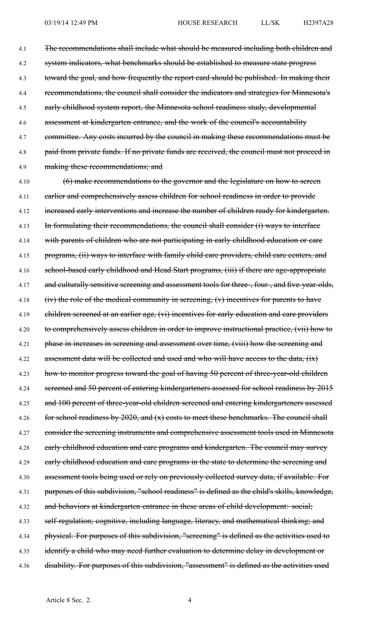4.1 The recommendations shall include what should be measured including both children and 4.2 system indicators, what benchmarks should be established to measure state progress 4.3 toward the goal, and how frequently the repor<sup>t</sup> card should be published. In making their 4.4 recommendations, the council shall consider the indicators and strategies for Minnesota's 4.5 early childhood system report, the Minnesota school readiness study, developmental 4.6 assessment at kindergarten entrance, and the work of the council's accountability 4.7 committee. Any costs incurred by the council in making these recommendations must be 4.8 paid from private funds. If no private funds are received, the council must not proceed in 4.9 making these recommendations; and

4.10 (6) make recommendations to the governor and the legislature on how to sereen 4.11 earlier and comprehensively assess children for school readiness in order to provide 4.12 increased early interventions and increase the number of children ready for kindergarten. 4.13 In formulating their recommendations, the council shall consider (i) ways to interface 4.14 with parents of children who are not participating in early childhood education or care 4.15 programs, (ii) ways to interface with family child care providers, child care centers, and 4.16 school-based early childhood and Head Start programs, (iii) if there are age-appropriate 4.17 and culturally sensitive screening and assessment tools for three-, four-, and five-year-olds, 4.18 (iv) the role of the medical community in sereening, (v) incentives for parents to have 4.19 children screened at an earlier age, (vi) incentives for early education and care providers 4.20 to comprehensively assess children in order to improve instructional practice, (vii) how to 4.21 phase in increases in screening and assessment over time, (viii) how the screening and 4.22 assessment data will be collected and used and who will have access to the data, (ix) 4.23 how to monitor progress toward the goal of having 50 percent of three-year-old children 4.24 sereened and 50 percent of entering kindergarteners assessed for school readiness by 2015 4.25 and 100 percent of three-year-old children screened and entering kindergarteners assessed 4.26 for school readiness by 2020, and (x) costs to meet these benchmarks. The council shall 4.27 consider the screening instruments and comprehensive assessment tools used in Minnesota 4.28 early childhood education and care programs and kindergarten. The council may survey 4.29 early childhood education and care programs in the state to determine the screening and 4.30 assessment tools being used or rely on previously collected survey data, if available. For 4.31 purposes of this subdivision, "school readiness" is defined as the child's skills, knowledge, 4.32 and behaviors at kindergarten entrance in these areas of child development: social; 4.33 self-regulation; cognitive, including language, literacy, and mathematical thinking; and 4.34 physical. For purposes of this subdivision, "screening" is defined as the activities used to 4.35 identify a child who may need further evaluation to determine delay in development or 4.36 disability. For purposes of this subdivision, "assessment" is defined as the activities used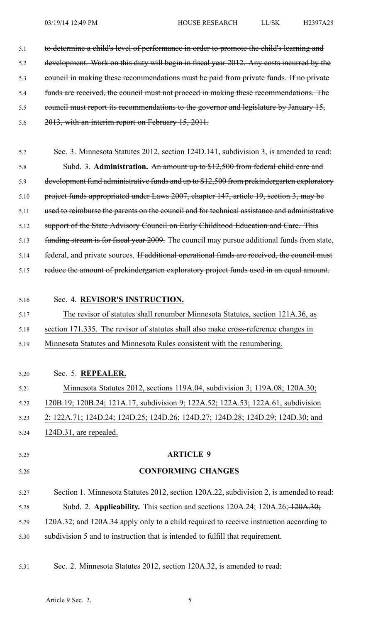| 5.1  | to determine a child's level of performance in order to promote the child's learning and              |
|------|-------------------------------------------------------------------------------------------------------|
| 5.2  | development. Work on this duty will begin in fiscal year 2012. Any costs incurred by the              |
| 5.3  | council in making these recommendations must be paid from private funds. If no private                |
| 5.4  | funds are received, the council must not proceed in making these recommendations. The                 |
| 5.5  | eouncil must report its recommendations to the governor and legislature by January 15,                |
| 5.6  | 2013, with an interim report on February 15, 2011.                                                    |
| 5.7  | Sec. 3. Minnesota Statutes 2012, section 124D.141, subdivision 3, is amended to read:                 |
| 5.8  | Subd. 3. Administration. An amount up to \$12,500 from federal child care and                         |
| 5.9  | development fund administrative funds and up to \$12,500 from prekindergarten exploratory             |
| 5.10 | project funds appropriated under Laws 2007, chapter 147, article 19, section 3, may be                |
| 5.11 | used to reimburse the parents on the council and for technical assistance and administrative          |
| 5.12 | support of the State Advisory Council on Early Childhood Education and Care. This                     |
| 5.13 | funding stream is for fiscal year 2009. The council may pursue additional funds from state,           |
| 5.14 | federal, and private sources. If additional operational funds are received, the council must          |
| 5.15 | reduce the amount of prekindergarten exploratory project funds used in an equal amount.               |
| 5.16 | Sec. 4. REVISOR'S INSTRUCTION.                                                                        |
| 5.17 | The revisor of statutes shall renumber Minnesota Statutes, section 121A.36, as                        |
| 5.18 | section 171.335. The revisor of statutes shall also make cross-reference changes in                   |
| 5.19 | Minnesota Statutes and Minnesota Rules consistent with the renumbering.                               |
| 5.20 | Sec. 5. REPEALER.                                                                                     |
| 5.21 | Minnesota Statutes 2012, sections 119A.04, subdivision 3; 119A.08; 120A.30;                           |
| 5.22 | 120B.19; 120B.24; 121A.17, subdivision 9; 122A.52; 122A.53; 122A.61, subdivision                      |
| 5.23 | 2; 122A.71; 124D.24; 124D.25; 124D.26; 124D.27; 124D.28; 124D.29; 124D.30; and                        |
| 5.24 | 124D.31, are repealed.                                                                                |
| 5.25 | <b>ARTICLE 9</b>                                                                                      |
|      |                                                                                                       |
| 5.26 | <b>CONFORMING CHANGES</b>                                                                             |
| 5.27 | Section 1. Minnesota Statutes 2012, section 120A.22, subdivision 2, is amended to read:               |
| 5.28 | Subd. 2. Applicability. This section and sections $120A.24$ ; $120A.26$ ; $\frac{120A.30}{1204.30}$ ; |
| 5.29 | 120A.32; and 120A.34 apply only to a child required to receive instruction according to               |
| 5.30 | subdivision 5 and to instruction that is intended to fulfill that requirement.                        |

5.31 Sec. 2. Minnesota Statutes 2012, section 120A.32, is amended to read: